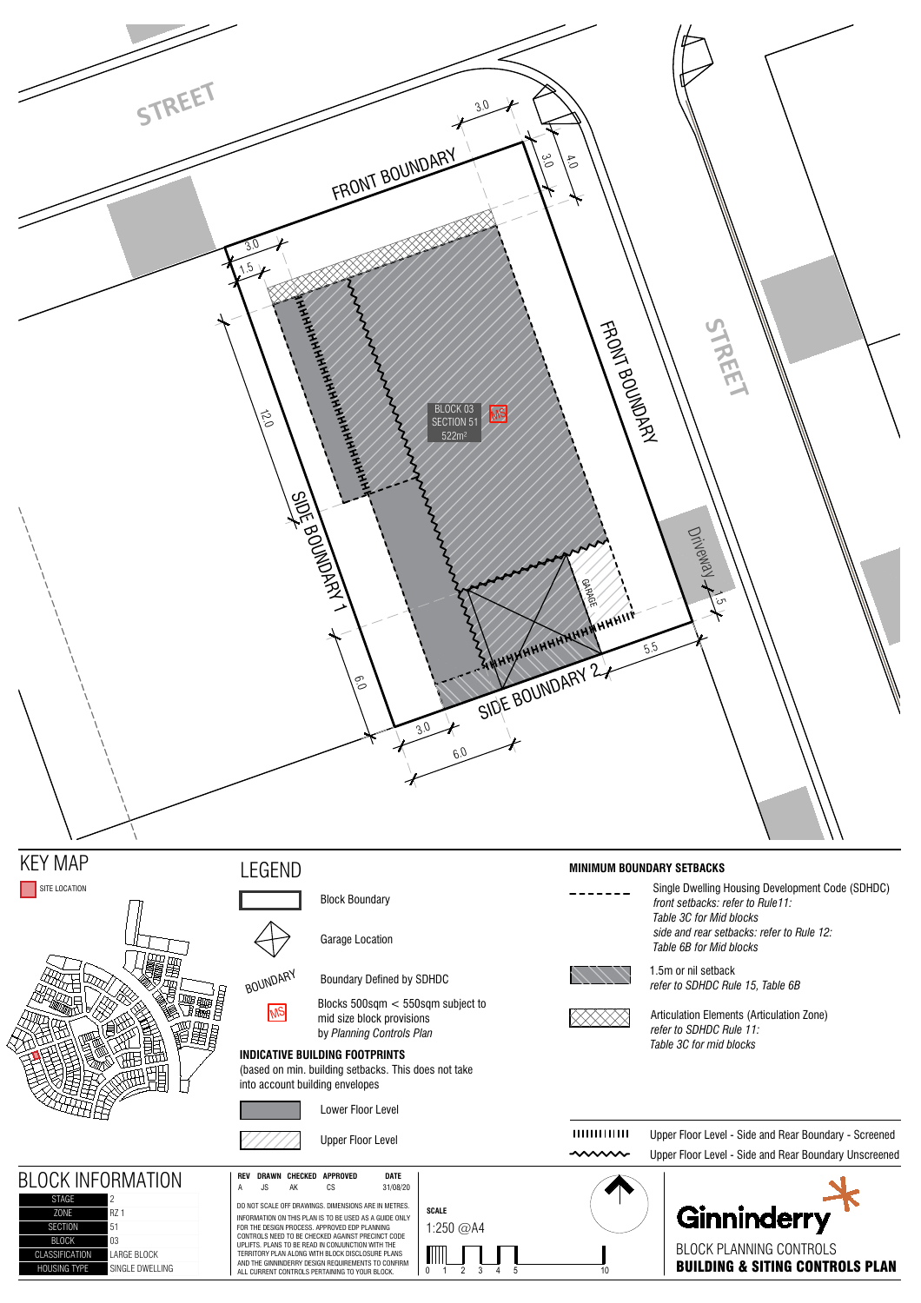